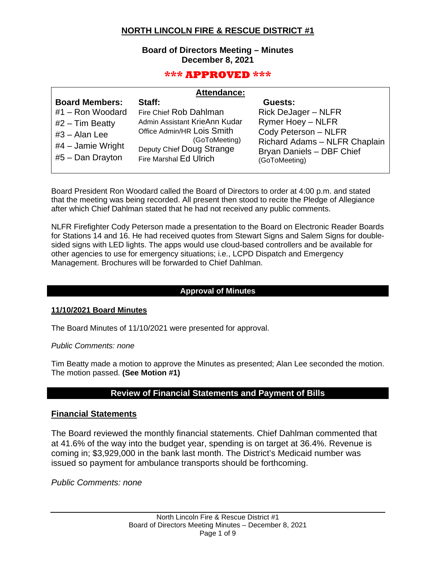# **NORTH LINCOLN FIRE & RESCUE DISTRICT #1**

### **Board of Directors Meeting – Minutes December 8, 2021**

## **\*\*\* APPROVED \*\*\***

|                                                                                                                                | <b>Attendance:</b>                                                                                                                                                      |                                                                                                                                                                          |
|--------------------------------------------------------------------------------------------------------------------------------|-------------------------------------------------------------------------------------------------------------------------------------------------------------------------|--------------------------------------------------------------------------------------------------------------------------------------------------------------------------|
| <b>Board Members:</b><br>#1 - Ron Woodard<br>$#2$ – Tim Beatty<br>$#3 - Alan Lee$<br>$#4$ – Jamie Wright<br>$#5$ – Dan Drayton | Staff:<br>Fire Chief Rob Dahlman<br>Admin Assistant KrieAnn Kudar<br>Office Admin/HR Lois Smith<br>(GoToMeeting)<br>Deputy Chief Doug Strange<br>Fire Marshal Ed Ulrich | Guests:<br><b>Rick DeJager - NLFR</b><br><b>Rymer Hoey - NLFR</b><br>Cody Peterson - NLFR<br>Richard Adams - NLFR Chaplain<br>Bryan Daniels - DBF Chief<br>(GoToMeeting) |
|                                                                                                                                |                                                                                                                                                                         |                                                                                                                                                                          |

Board President Ron Woodard called the Board of Directors to order at 4:00 p.m. and stated that the meeting was being recorded. All present then stood to recite the Pledge of Allegiance after which Chief Dahlman stated that he had not received any public comments.

NLFR Firefighter Cody Peterson made a presentation to the Board on Electronic Reader Boards for Stations 14 and 16. He had received quotes from Stewart Signs and Salem Signs for doublesided signs with LED lights. The apps would use cloud-based controllers and be available for other agencies to use for emergency situations; i.e., LCPD Dispatch and Emergency Management. Brochures will be forwarded to Chief Dahlman.

### **Approval of Minutes**

#### **11/10/2021 Board Minutes**

The Board Minutes of 11/10/2021 were presented for approval.

*Public Comments: none*

Tim Beatty made a motion to approve the Minutes as presented; Alan Lee seconded the motion. The motion passed. **(See Motion #1)**

# **Review of Financial Statements and Payment of Bills**

### **Financial Statements**

The Board reviewed the monthly financial statements. Chief Dahlman commented that at 41.6% of the way into the budget year, spending is on target at 36.4%. Revenue is coming in; \$3,929,000 in the bank last month. The District's Medicaid number was issued so payment for ambulance transports should be forthcoming.

*Public Comments: none*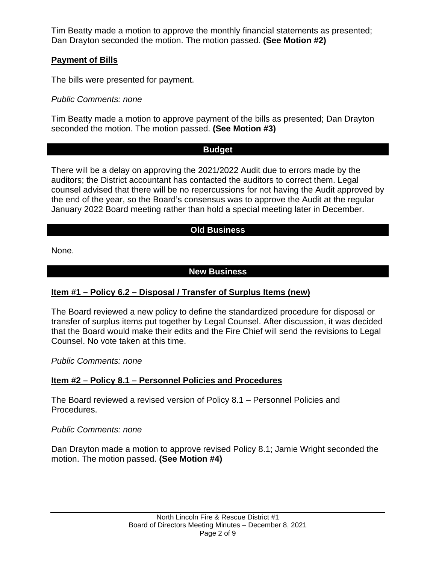Tim Beatty made a motion to approve the monthly financial statements as presented; Dan Drayton seconded the motion. The motion passed. **(See Motion #2)**

# **Payment of Bills**

The bills were presented for payment.

*Public Comments: none*

Tim Beatty made a motion to approve payment of the bills as presented; Dan Drayton seconded the motion. The motion passed. **(See Motion #3)**

## **Budget**

There will be a delay on approving the 2021/2022 Audit due to errors made by the auditors; the District accountant has contacted the auditors to correct them. Legal counsel advised that there will be no repercussions for not having the Audit approved by the end of the year, so the Board's consensus was to approve the Audit at the regular January 2022 Board meeting rather than hold a special meeting later in December.

# **Old Business**

None.

# **New Business**

# **Item #1 – Policy 6.2 – Disposal / Transfer of Surplus Items (new)**

The Board reviewed a new policy to define the standardized procedure for disposal or transfer of surplus items put together by Legal Counsel. After discussion, it was decided that the Board would make their edits and the Fire Chief will send the revisions to Legal Counsel. No vote taken at this time.

*Public Comments: none*

# **Item #2 – Policy 8.1 – Personnel Policies and Procedures**

The Board reviewed a revised version of Policy 8.1 – Personnel Policies and Procedures.

## *Public Comments: none*

Dan Drayton made a motion to approve revised Policy 8.1; Jamie Wright seconded the motion. The motion passed. **(See Motion #4)**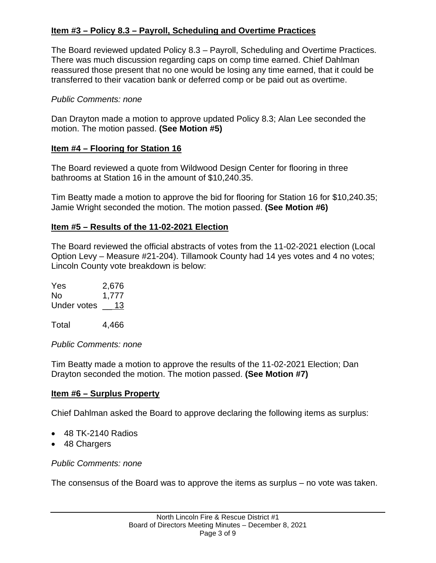# **Item #3 – Policy 8.3 – Payroll, Scheduling and Overtime Practices**

The Board reviewed updated Policy 8.3 – Payroll, Scheduling and Overtime Practices. There was much discussion regarding caps on comp time earned. Chief Dahlman reassured those present that no one would be losing any time earned, that it could be transferred to their vacation bank or deferred comp or be paid out as overtime.

## *Public Comments: none*

Dan Drayton made a motion to approve updated Policy 8.3; Alan Lee seconded the motion. The motion passed. **(See Motion #5)**

## **Item #4 – Flooring for Station 16**

The Board reviewed a quote from Wildwood Design Center for flooring in three bathrooms at Station 16 in the amount of \$10,240.35.

Tim Beatty made a motion to approve the bid for flooring for Station 16 for \$10,240.35; Jamie Wright seconded the motion. The motion passed. **(See Motion #6)**

## **Item #5 – Results of the 11-02-2021 Election**

The Board reviewed the official abstracts of votes from the 11-02-2021 election (Local Option Levy – Measure #21-204). Tillamook County had 14 yes votes and 4 no votes; Lincoln County vote breakdown is below:

Yes 2,676 No 1,777 Under votes 13

Total 4,466

*Public Comments: none*

Tim Beatty made a motion to approve the results of the 11-02-2021 Election; Dan Drayton seconded the motion. The motion passed. **(See Motion #7)**

# **Item #6 – Surplus Property**

Chief Dahlman asked the Board to approve declaring the following items as surplus:

- 48 TK-2140 Radios
- 48 Chargers

## *Public Comments: none*

The consensus of the Board was to approve the items as surplus – no vote was taken.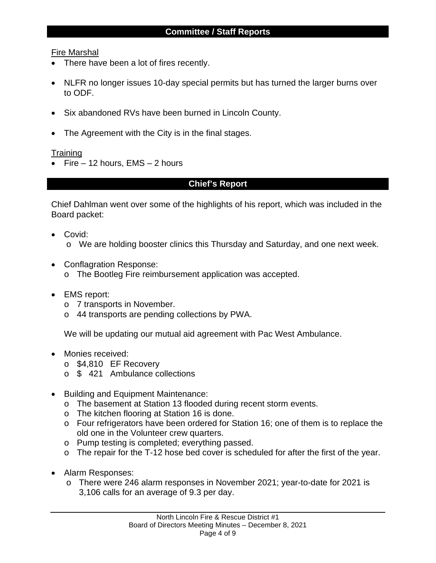## Fire Marshal

- There have been a lot of fires recently.
- NLFR no longer issues 10-day special permits but has turned the larger burns over to ODF.
- Six abandoned RVs have been burned in Lincoln County.
- The Agreement with the City is in the final stages.

## **Training**

• Fire  $-12$  hours, EMS  $-2$  hours

# **Chief's Report**

Chief Dahlman went over some of the highlights of his report, which was included in the Board packet:

- Covid: o We are holding booster clinics this Thursday and Saturday, and one next week.
- Conflagration Response:
	- o The Bootleg Fire reimbursement application was accepted.
- EMS report:
	- o 7 transports in November.
	- o 44 transports are pending collections by PWA.

We will be updating our mutual aid agreement with Pac West Ambulance.

- Monies received:
	- o \$4,810 EF Recovery
	- o \$ 421 Ambulance collections
- Building and Equipment Maintenance:
	- o The basement at Station 13 flooded during recent storm events.
	- o The kitchen flooring at Station 16 is done.
	- o Four refrigerators have been ordered for Station 16; one of them is to replace the old one in the Volunteer crew quarters.
	- o Pump testing is completed; everything passed.
	- o The repair for the T-12 hose bed cover is scheduled for after the first of the year.
- Alarm Responses:
	- o There were 246 alarm responses in November 2021; year-to-date for 2021 is 3,106 calls for an average of 9.3 per day.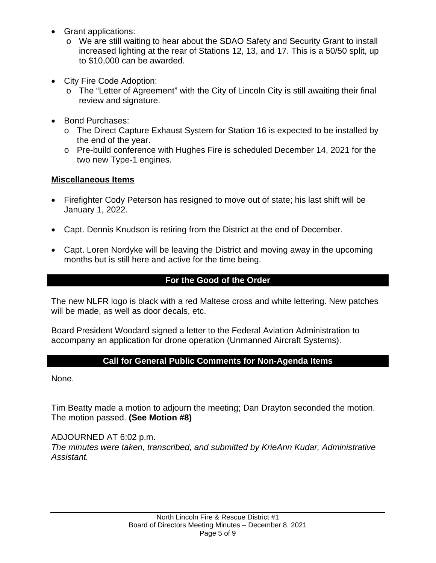- Grant applications:
	- o We are still waiting to hear about the SDAO Safety and Security Grant to install increased lighting at the rear of Stations 12, 13, and 17. This is a 50/50 split, up to \$10,000 can be awarded.
- City Fire Code Adoption:
	- o The "Letter of Agreement" with the City of Lincoln City is still awaiting their final review and signature.
- Bond Purchases:
	- o The Direct Capture Exhaust System for Station 16 is expected to be installed by the end of the year.
	- o Pre-build conference with Hughes Fire is scheduled December 14, 2021 for the two new Type-1 engines.

# **Miscellaneous Items**

- Firefighter Cody Peterson has resigned to move out of state; his last shift will be January 1, 2022.
- Capt. Dennis Knudson is retiring from the District at the end of December.
- Capt. Loren Nordyke will be leaving the District and moving away in the upcoming months but is still here and active for the time being.

# **For the Good of the Order**

The new NLFR logo is black with a red Maltese cross and white lettering. New patches will be made, as well as door decals, etc.

Board President Woodard signed a letter to the Federal Aviation Administration to accompany an application for drone operation (Unmanned Aircraft Systems).

# **Call for General Public Comments for Non-Agenda Items**

None.

Tim Beatty made a motion to adjourn the meeting; Dan Drayton seconded the motion. The motion passed. **(See Motion #8)**

ADJOURNED AT 6:02 p.m. *The minutes were taken, transcribed, and submitted by KrieAnn Kudar, Administrative Assistant.*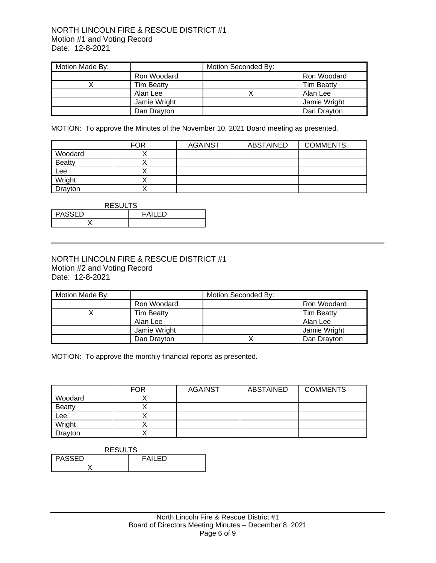#### NORTH LINCOLN FIRE & RESCUE DISTRICT #1 Motion #1 and Voting Record Date: 12-8-2021

| Motion Made By: |                   | Motion Seconded By: |                   |
|-----------------|-------------------|---------------------|-------------------|
|                 | Ron Woodard       |                     | Ron Woodard       |
|                 | <b>Tim Beatty</b> |                     | <b>Tim Beatty</b> |
|                 | Alan Lee          |                     | Alan Lee          |
|                 | Jamie Wright      |                     | Jamie Wright      |
|                 | Dan Drayton       |                     | Dan Drayton       |

MOTION: To approve the Minutes of the November 10, 2021 Board meeting as presented.

|               | <b>FOR</b> | <b>AGAINST</b> | ABSTAINED | <b>COMMENTS</b> |
|---------------|------------|----------------|-----------|-----------------|
| Woodard       |            |                |           |                 |
| <b>Beatty</b> |            |                |           |                 |
| Lee           |            |                |           |                 |
| Wright        |            |                |           |                 |
| Drayton       |            |                |           |                 |

| <b>RESULTS</b>           |  |  |  |
|--------------------------|--|--|--|
| <b>PASSED</b><br>FAII FD |  |  |  |
|                          |  |  |  |

### NORTH LINCOLN FIRE & RESCUE DISTRICT #1 Motion #2 and Voting Record Date: 12-8-2021

| Motion Made By: |                   | Motion Seconded By: |                   |
|-----------------|-------------------|---------------------|-------------------|
|                 | Ron Woodard       |                     | Ron Woodard       |
|                 | <b>Tim Beatty</b> |                     | <b>Tim Beatty</b> |
|                 | Alan Lee          |                     | Alan Lee          |
|                 | Jamie Wright      |                     | Jamie Wright      |
|                 | Dan Drayton       |                     | Dan Drayton       |

MOTION: To approve the monthly financial reports as presented.

|               | <b>FOR</b> | <b>AGAINST</b> | <b>ABSTAINED</b> | <b>COMMENTS</b> |
|---------------|------------|----------------|------------------|-----------------|
| Woodard       |            |                |                  |                 |
| <b>Beatty</b> |            |                |                  |                 |
| Lee           |            |                |                  |                 |
| Wright        |            |                |                  |                 |
| Drayton       |            |                |                  |                 |

| <b>RESULTS</b>                 |  |  |
|--------------------------------|--|--|
| <b>PASSED</b><br><b>FAILED</b> |  |  |
|                                |  |  |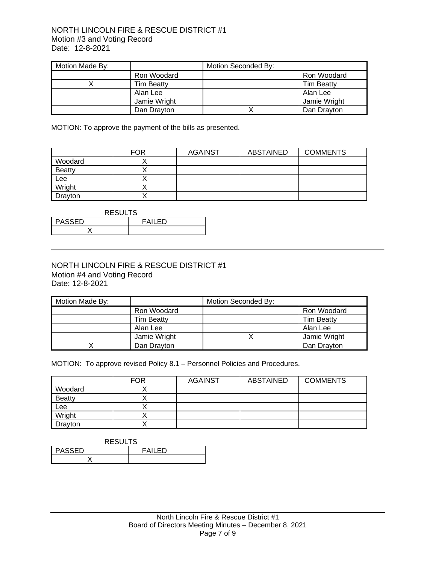#### NORTH LINCOLN FIRE & RESCUE DISTRICT #1 Motion #3 and Voting Record Date: 12-8-2021

| Motion Made By: |                   | Motion Seconded By: |                   |
|-----------------|-------------------|---------------------|-------------------|
|                 | Ron Woodard       |                     | Ron Woodard       |
|                 | <b>Tim Beatty</b> |                     | <b>Tim Beatty</b> |
|                 | Alan Lee          |                     | Alan Lee          |
|                 | Jamie Wright      |                     | Jamie Wright      |
|                 | Dan Drayton       |                     | Dan Drayton       |

MOTION: To approve the payment of the bills as presented.

|               | <b>FOR</b> | <b>AGAINST</b> | ABSTAINED | <b>COMMENTS</b> |
|---------------|------------|----------------|-----------|-----------------|
| Woodard       |            |                |           |                 |
| <b>Beatty</b> |            |                |           |                 |
| Lee           |            |                |           |                 |
| Wright        |            |                |           |                 |
| Drayton       |            |                |           |                 |

| <b>RESULTS</b>                 |  |  |  |
|--------------------------------|--|--|--|
| <b>PASSED</b><br><b>FAILED</b> |  |  |  |
|                                |  |  |  |

#### NORTH LINCOLN FIRE & RESCUE DISTRICT #1 Motion #4 and Voting Record Date: 12-8-2021

| Motion Made By: |                   | Motion Seconded By: |                   |
|-----------------|-------------------|---------------------|-------------------|
|                 | Ron Woodard       |                     | Ron Woodard       |
|                 | <b>Tim Beatty</b> |                     | <b>Tim Beatty</b> |
|                 | Alan Lee          |                     | Alan Lee          |
|                 | Jamie Wright      |                     | Jamie Wright      |
|                 | Dan Drayton       |                     | Dan Drayton       |

MOTION: To approve revised Policy 8.1 – Personnel Policies and Procedures.

|               | <b>FOR</b> | <b>AGAINST</b> | ABSTAINED | <b>COMMENTS</b> |
|---------------|------------|----------------|-----------|-----------------|
| Woodard       |            |                |           |                 |
| <b>Beatty</b> |            |                |           |                 |
| Lee           |            |                |           |                 |
| Wright        |            |                |           |                 |
| Drayton       |            |                |           |                 |

| <b>RESULTS</b>           |  |  |
|--------------------------|--|--|
| <b>PASSED</b><br>FAIL FD |  |  |
|                          |  |  |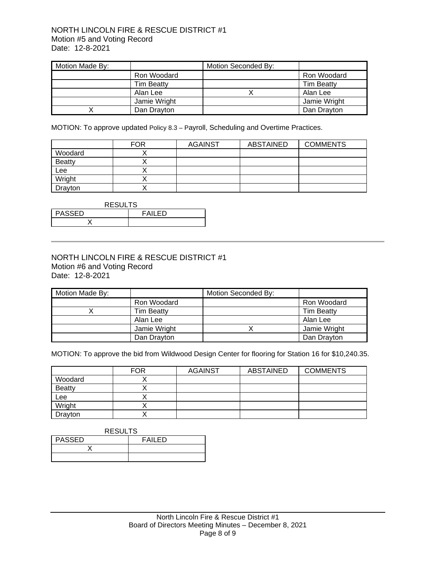#### NORTH LINCOLN FIRE & RESCUE DISTRICT #1 Motion #5 and Voting Record Date: 12-8-2021

| Motion Made By: |                   | Motion Seconded By: |                   |
|-----------------|-------------------|---------------------|-------------------|
|                 | Ron Woodard       |                     | Ron Woodard       |
|                 | <b>Tim Beatty</b> |                     | <b>Tim Beatty</b> |
|                 | Alan Lee          |                     | Alan Lee          |
|                 | Jamie Wright      |                     | Jamie Wright      |
|                 | Dan Drayton       |                     | Dan Drayton       |

MOTION: To approve updated Policy 8.3 – Payroll, Scheduling and Overtime Practices.

|               | <b>FOR</b> | <b>AGAINST</b> | <b>ABSTAINED</b> | <b>COMMENTS</b> |
|---------------|------------|----------------|------------------|-----------------|
| Woodard       |            |                |                  |                 |
| <b>Beatty</b> |            |                |                  |                 |
| Lee           |            |                |                  |                 |
| Wright        |            |                |                  |                 |
| Drayton       |            |                |                  |                 |

| <b>RESULTS</b>           |  |  |
|--------------------------|--|--|
| <b>PASSED</b><br>FAII FD |  |  |
|                          |  |  |

#### NORTH LINCOLN FIRE & RESCUE DISTRICT #1 Motion #6 and Voting Record Date: 12-8-2021

| Motion Made By: |                   | Motion Seconded By: |                   |
|-----------------|-------------------|---------------------|-------------------|
|                 | Ron Woodard       |                     | Ron Woodard       |
|                 | <b>Tim Beatty</b> |                     | <b>Tim Beatty</b> |
|                 | Alan Lee          |                     | Alan Lee          |
|                 | Jamie Wright      |                     | Jamie Wright      |
|                 | Dan Drayton       |                     | Dan Drayton       |

MOTION: To approve the bid from Wildwood Design Center for flooring for Station 16 for \$10,240.35.

|               | <b>FOR</b> | <b>AGAINST</b> | ABSTAINED | <b>COMMENTS</b> |
|---------------|------------|----------------|-----------|-----------------|
| Woodard       |            |                |           |                 |
| <b>Beatty</b> |            |                |           |                 |
| Lee           |            |                |           |                 |
| Wright        |            |                |           |                 |
| Drayton       |            |                |           |                 |

#### **RESULTS**

| <b>PASSED</b> | <b>FAILED</b> |
|---------------|---------------|
|               |               |
|               |               |